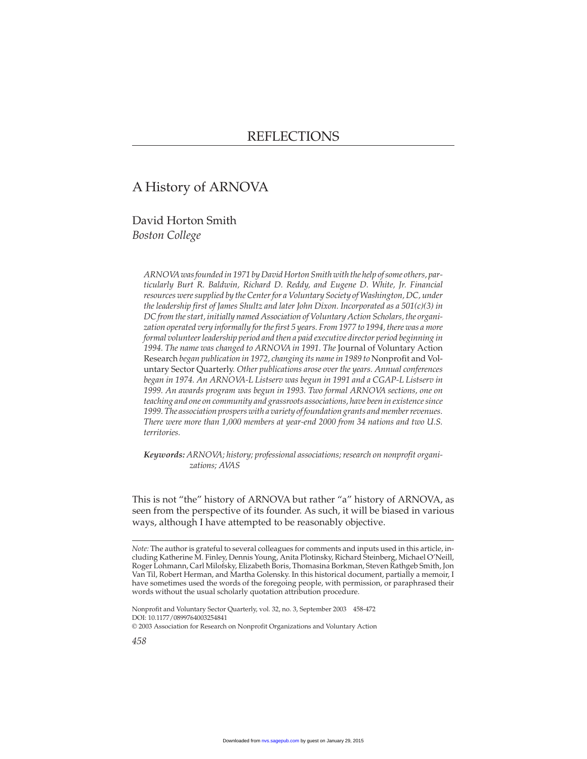# REFLECTIONS

# A History of ARNOVA

# David Horton Smith *Boston College*

*ARNOVAwas founded in 1971 by David Horton Smith with the help of some others, particularly Burt R. Baldwin, Richard D. Reddy, and Eugene D. White, Jr. Financial resources were supplied by the Center for a Voluntary Society of Washington, DC, under the leadership first of James Shultz and later John Dixon. Incorporated as a 501(c)(3) in* DC from the start, initially named Association of Voluntary Action Scholars, the organi*zation operated very informally for the first 5 years. From 1977 to 1994, there was a more formal volunteer leadership period and then a paid executive director period beginning in 1994. The name was changed to ARNOVA in 1991. The* Journal of Voluntary Action Research *began publication in 1972, changing its name in 1989 to* Nonprofit and Voluntary Sector Quarterly*. Other publications arose over the years. Annual conferences began in 1974. An ARNOVA-L Listserv was begun in 1991 and a CGAP-L Listserv in* 1999. An awards program was begun in 1993. Two formal ARNOVA sections, one on *teaching and one on community and grassroots associations, have been in existence since 1999. The association prospers with a variety of foundation grants and member revenues. There were more than 1,000 members at year-end 2000 from 34 nations and two U.S. territories.*

*Keywords: ARNOVA; history; professional associations; research on nonprofit organizations; AVAS*

This is not "the" history of ARNOVA but rather "a" history of ARNOVA, as seen from the perspective of its founder. As such, it will be biased in various ways, although I have attempted to be reasonably objective.

Nonprofit and Voluntary Sector Quarterly, vol. 32, no. 3, September 2003 458-472 DOI: 10.1177/0899764003254841

© 2003 Association for Research on Nonprofit Organizations and Voluntary Action

*Note:* The author is grateful to several colleagues for comments and inputs used in this article, including Katherine M. Finley, Dennis Young, Anita Plotinsky, Richard Steinberg, Michael O'Neill, Roger Lohmann, Carl Milofsky, Elizabeth Boris, Thomasina Borkman, Steven Rathgeb Smith, Jon Van Til, Robert Herman, and Martha Golensky. In this historical document, partially a memoir, I have sometimes used the words of the foregoing people, with permission, or paraphrased their words without the usual scholarly quotation attribution procedure.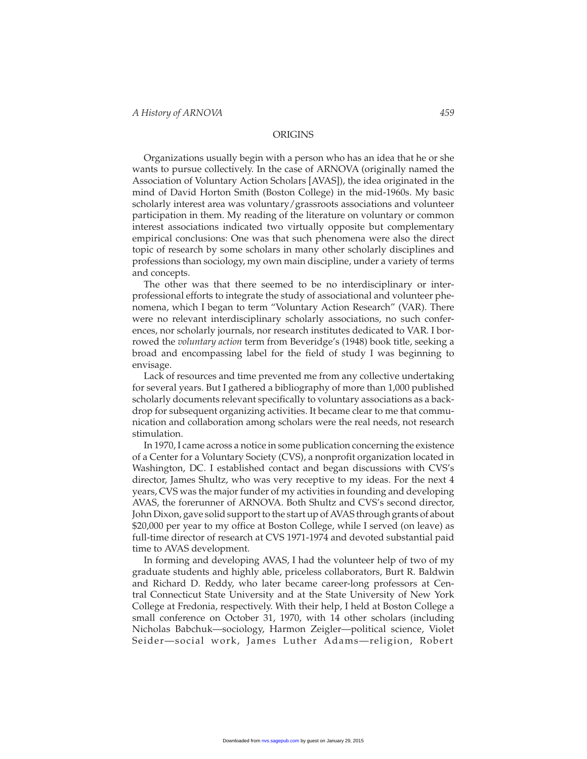# **ORIGINS**

Organizations usually begin with a person who has an idea that he or she wants to pursue collectively. In the case of ARNOVA (originally named the Association of Voluntary Action Scholars [AVAS]), the idea originated in the mind of David Horton Smith (Boston College) in the mid-1960s. My basic scholarly interest area was voluntary/grassroots associations and volunteer participation in them. My reading of the literature on voluntary or common interest associations indicated two virtually opposite but complementary empirical conclusions: One was that such phenomena were also the direct topic of research by some scholars in many other scholarly disciplines and professions than sociology, my own main discipline, under a variety of terms and concepts.

The other was that there seemed to be no interdisciplinary or interprofessional efforts to integrate the study of associational and volunteer phenomena, which I began to term "Voluntary Action Research" (VAR). There were no relevant interdisciplinary scholarly associations, no such conferences, nor scholarly journals, nor research institutes dedicated to VAR. I borrowed the *voluntary action* term from Beveridge's (1948) book title, seeking a broad and encompassing label for the field of study I was beginning to envisage.

Lack of resources and time prevented me from any collective undertaking for several years. But I gathered a bibliography of more than 1,000 published scholarly documents relevant specifically to voluntary associations as a backdrop for subsequent organizing activities. It became clear to me that communication and collaboration among scholars were the real needs, not research stimulation.

In 1970, I came across a notice in some publication concerning the existence of a Center for a Voluntary Society (CVS), a nonprofit organization located in Washington, DC. I established contact and began discussions with CVS's director, James Shultz, who was very receptive to my ideas. For the next 4 years, CVS was the major funder of my activities in founding and developing AVAS, the forerunner of ARNOVA. Both Shultz and CVS's second director, John Dixon, gave solid support to the start up of AVAS through grants of about \$20,000 per year to my office at Boston College, while I served (on leave) as full-time director of research at CVS 1971-1974 and devoted substantial paid time to AVAS development.

In forming and developing AVAS, I had the volunteer help of two of my graduate students and highly able, priceless collaborators, Burt R. Baldwin and Richard D. Reddy, who later became career-long professors at Central Connecticut State University and at the State University of New York College at Fredonia, respectively. With their help, I held at Boston College a small conference on October 31, 1970, with 14 other scholars (including Nicholas Babchuk—sociology, Harmon Zeigler—political science, Violet Seider—social work, James Luther Adams—religion, Robert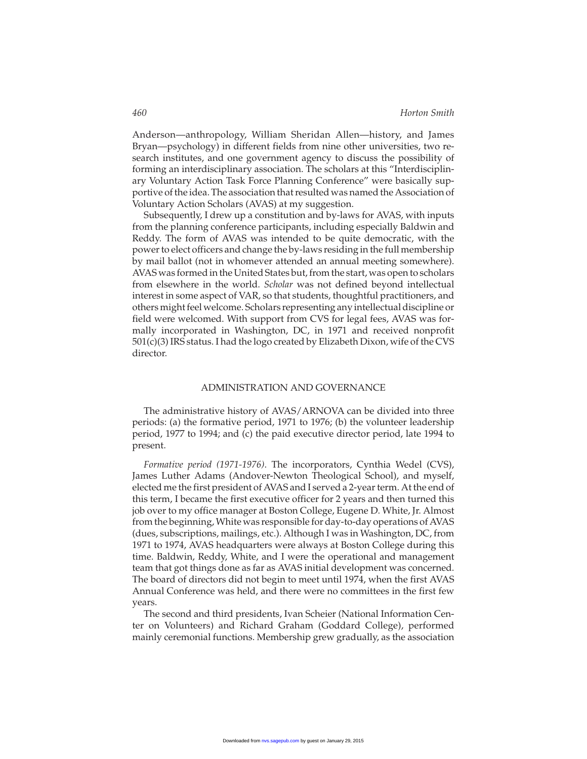Anderson—anthropology, William Sheridan Allen—history, and James Bryan—psychology) in different fields from nine other universities, two research institutes, and one government agency to discuss the possibility of forming an interdisciplinary association. The scholars at this "Interdisciplinary Voluntary Action Task Force Planning Conference" were basically supportive of the idea. The association that resulted was named the Association of Voluntary Action Scholars (AVAS) at my suggestion.

Subsequently, I drew up a constitution and by-laws for AVAS, with inputs from the planning conference participants, including especially Baldwin and Reddy. The form of AVAS was intended to be quite democratic, with the power to elect officers and change the by-laws residing in the full membership by mail ballot (not in whomever attended an annual meeting somewhere). AVAS was formed in the United States but, from the start, was open to scholars from elsewhere in the world. *Scholar* was not defined beyond intellectual interest in some aspect of VAR, so that students, thoughtful practitioners, and others might feel welcome. Scholars representing any intellectual discipline or field were welcomed. With support from CVS for legal fees, AVAS was formally incorporated in Washington, DC, in 1971 and received nonprofit 501(c)(3) IRS status. I had the logo created by Elizabeth Dixon, wife of the CVS director.

# ADMINISTRATION AND GOVERNANCE

The administrative history of AVAS/ARNOVA can be divided into three periods: (a) the formative period, 1971 to 1976; (b) the volunteer leadership period, 1977 to 1994; and (c) the paid executive director period, late 1994 to present.

*Formative period (1971-1976)*. The incorporators, Cynthia Wedel (CVS), James Luther Adams (Andover-Newton Theological School), and myself, elected me the first president of AVAS and I served a 2-year term. At the end of this term, I became the first executive officer for 2 years and then turned this job over to my office manager at Boston College, Eugene D. White, Jr. Almost from the beginning, White was responsible for day-to-day operations of AVAS (dues, subscriptions, mailings, etc.). Although I was in Washington, DC, from 1971 to 1974, AVAS headquarters were always at Boston College during this time. Baldwin, Reddy, White, and I were the operational and management team that got things done as far as AVAS initial development was concerned. The board of directors did not begin to meet until 1974, when the first AVAS Annual Conference was held, and there were no committees in the first few years.

The second and third presidents, Ivan Scheier (National Information Center on Volunteers) and Richard Graham (Goddard College), performed mainly ceremonial functions. Membership grew gradually, as the association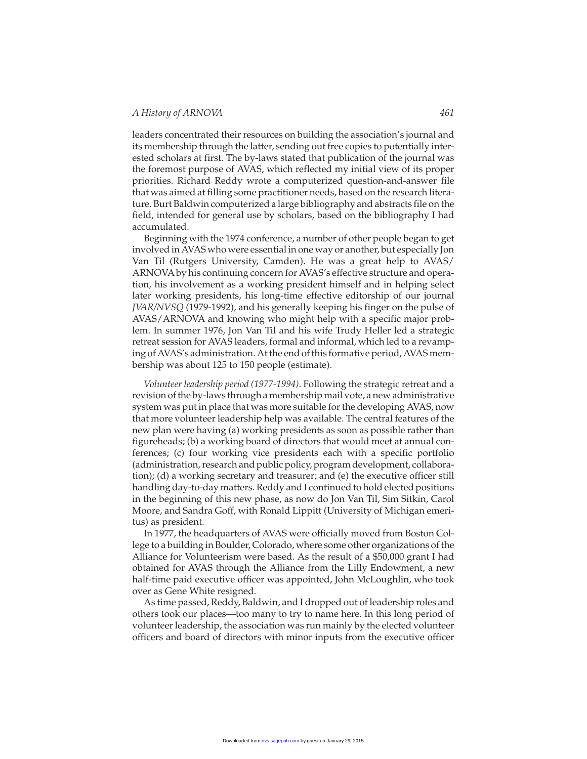# *A History of ARNOVA 461*

leaders concentrated their resources on building the association's journal and its membership through the latter, sending out free copies to potentially interested scholars at first. The by-laws stated that publication of the journal was the foremost purpose of AVAS, which reflected my initial view of its proper priorities. Richard Reddy wrote a computerized question-and-answer file that was aimed at filling some practitioner needs, based on the research literature. Burt Baldwin computerized a large bibliography and abstracts file on the field, intended for general use by scholars, based on the bibliography I had accumulated.

Beginning with the 1974 conference, a number of other people began to get involved in AVAS who were essential in one way or another, but especially Jon Van Til (Rutgers University, Camden). He was a great help to AVAS/ ARNOVAby his continuing concern for AVAS's effective structure and operation, his involvement as a working president himself and in helping select later working presidents, his long-time effective editorship of our journal *JVAR/NVSQ* (1979-1992), and his generally keeping his finger on the pulse of AVAS/ARNOVA and knowing who might help with a specific major problem. In summer 1976, Jon Van Til and his wife Trudy Heller led a strategic retreat session for AVAS leaders, formal and informal, which led to a revamping of AVAS's administration. At the end of this formative period, AVAS membership was about 125 to 150 people (estimate).

*Volunteer leadership period (1977-1994)*. Following the strategic retreat and a revision of the by-laws through a membership mail vote, a new administrative system was put in place that was more suitable for the developing AVAS, now that more volunteer leadership help was available. The central features of the new plan were having (a) working presidents as soon as possible rather than figureheads; (b) a working board of directors that would meet at annual conferences; (c) four working vice presidents each with a specific portfolio (administration, research and public policy, program development, collaboration); (d) a working secretary and treasurer; and (e) the executive officer still handling day-to-day matters. Reddy and I continued to hold elected positions in the beginning of this new phase, as now do Jon Van Til, Sim Sitkin, Carol Moore, and Sandra Goff, with Ronald Lippitt (University of Michigan emeritus) as president.

In 1977, the headquarters of AVAS were officially moved from Boston College to a building in Boulder, Colorado, where some other organizations of the Alliance for Volunteerism were based. As the result of a \$50,000 grant I had obtained for AVAS through the Alliance from the Lilly Endowment, a new half-time paid executive officer was appointed, John McLoughlin, who took over as Gene White resigned.

As time passed, Reddy, Baldwin, and I dropped out of leadership roles and others took our places—too many to try to name here. In this long period of volunteer leadership, the association was run mainly by the elected volunteer officers and board of directors with minor inputs from the executive officer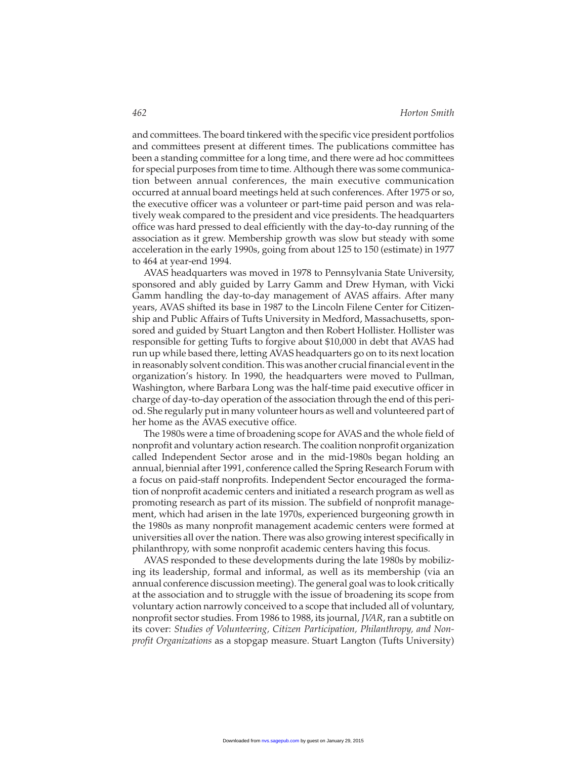and committees. The board tinkered with the specific vice president portfolios and committees present at different times. The publications committee has been a standing committee for a long time, and there were ad hoc committees for special purposes from time to time. Although there was some communication between annual conferences, the main executive communication occurred at annual board meetings held at such conferences. After 1975 or so, the executive officer was a volunteer or part-time paid person and was relatively weak compared to the president and vice presidents. The headquarters office was hard pressed to deal efficiently with the day-to-day running of the association as it grew. Membership growth was slow but steady with some acceleration in the early 1990s, going from about 125 to 150 (estimate) in 1977 to 464 at year-end 1994.

AVAS headquarters was moved in 1978 to Pennsylvania State University, sponsored and ably guided by Larry Gamm and Drew Hyman, with Vicki Gamm handling the day-to-day management of AVAS affairs. After many years, AVAS shifted its base in 1987 to the Lincoln Filene Center for Citizenship and Public Affairs of Tufts University in Medford, Massachusetts, sponsored and guided by Stuart Langton and then Robert Hollister. Hollister was responsible for getting Tufts to forgive about \$10,000 in debt that AVAS had run up while based there, letting AVAS headquarters go on to its next location in reasonably solvent condition. This was another crucial financial event in the organization's history. In 1990, the headquarters were moved to Pullman, Washington, where Barbara Long was the half-time paid executive officer in charge of day-to-day operation of the association through the end of this period. She regularly put in many volunteer hours as well and volunteered part of her home as the AVAS executive office.

The 1980s were a time of broadening scope for AVAS and the whole field of nonprofit and voluntary action research. The coalition nonprofit organization called Independent Sector arose and in the mid-1980s began holding an annual, biennial after 1991, conference called the Spring Research Forum with a focus on paid-staff nonprofits. Independent Sector encouraged the formation of nonprofit academic centers and initiated a research program as well as promoting research as part of its mission. The subfield of nonprofit management, which had arisen in the late 1970s, experienced burgeoning growth in the 1980s as many nonprofit management academic centers were formed at universities all over the nation. There was also growing interest specifically in philanthropy, with some nonprofit academic centers having this focus.

AVAS responded to these developments during the late 1980s by mobilizing its leadership, formal and informal, as well as its membership (via an annual conference discussion meeting). The general goal was to look critically at the association and to struggle with the issue of broadening its scope from voluntary action narrowly conceived to a scope that included all of voluntary, nonprofit sector studies. From 1986 to 1988, its journal, *JVAR*, ran a subtitle on its cover: *Studies of Volunteering, Citizen Participation, Philanthropy, and Nonprofit Organizations* as a stopgap measure. Stuart Langton (Tufts University)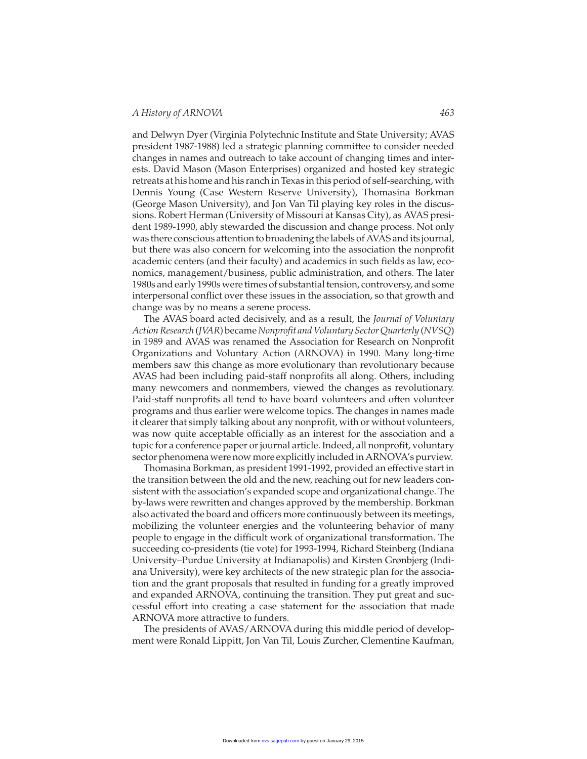## *A History of ARNOVA 463*

and Delwyn Dyer (Virginia Polytechnic Institute and State University; AVAS president 1987-1988) led a strategic planning committee to consider needed changes in names and outreach to take account of changing times and interests. David Mason (Mason Enterprises) organized and hosted key strategic retreats at his home and his ranch in Texas in this period of self-searching, with Dennis Young (Case Western Reserve University), Thomasina Borkman (George Mason University), and Jon Van Til playing key roles in the discussions. Robert Herman (University of Missouri at Kansas City), as AVAS president 1989-1990, ably stewarded the discussion and change process. Not only was there conscious attention to broadening the labels of AVAS and its journal, but there was also concern for welcoming into the association the nonprofit academic centers (and their faculty) and academics in such fields as law, economics, management/business, public administration, and others. The later 1980s and early 1990s were times of substantial tension, controversy, and some interpersonal conflict over these issues in the association, so that growth and change was by no means a serene process.

The AVAS board acted decisively, and as a result, the *Journal of Voluntary Action Research* (*JVAR*) became*Nonprofit and Voluntary Sector Quarterly* (*NVSQ*) in 1989 and AVAS was renamed the Association for Research on Nonprofit Organizations and Voluntary Action (ARNOVA) in 1990. Many long-time members saw this change as more evolutionary than revolutionary because AVAS had been including paid-staff nonprofits all along. Others, including many newcomers and nonmembers, viewed the changes as revolutionary. Paid-staff nonprofits all tend to have board volunteers and often volunteer programs and thus earlier were welcome topics. The changes in names made it clearer that simply talking about any nonprofit, with or without volunteers, was now quite acceptable officially as an interest for the association and a topic for a conference paper or journal article. Indeed, all nonprofit, voluntary sector phenomena were now more explicitly included in ARNOVA's purview.

Thomasina Borkman, as president 1991-1992, provided an effective start in the transition between the old and the new, reaching out for new leaders consistent with the association's expanded scope and organizational change. The by-laws were rewritten and changes approved by the membership. Borkman also activated the board and officers more continuously between its meetings, mobilizing the volunteer energies and the volunteering behavior of many people to engage in the difficult work of organizational transformation. The succeeding co-presidents (tie vote) for 1993-1994, Richard Steinberg (Indiana University–Purdue University at Indianapolis) and Kirsten Grønbjerg (Indiana University), were key architects of the new strategic plan for the association and the grant proposals that resulted in funding for a greatly improved and expanded ARNOVA, continuing the transition. They put great and successful effort into creating a case statement for the association that made ARNOVA more attractive to funders.

The presidents of AVAS/ARNOVA during this middle period of development were Ronald Lippitt, Jon Van Til, Louis Zurcher, Clementine Kaufman,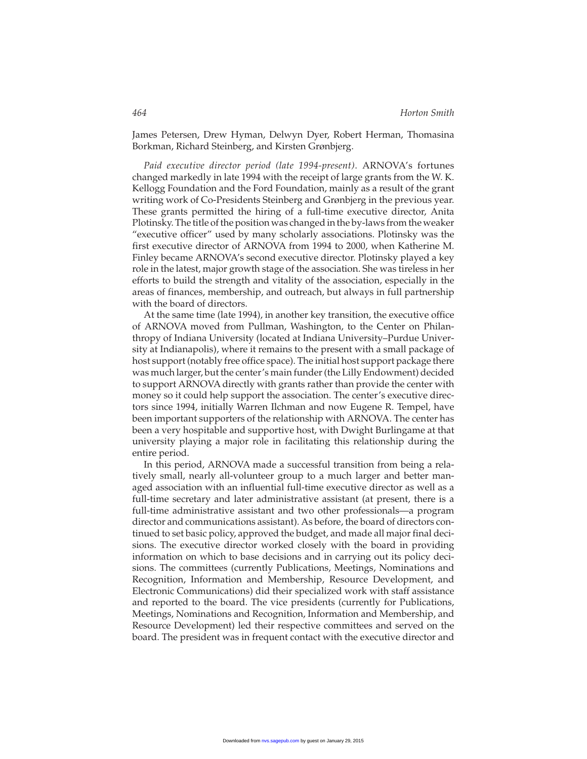James Petersen, Drew Hyman, Delwyn Dyer, Robert Herman, Thomasina Borkman, Richard Steinberg, and Kirsten Grønbjerg.

*Paid executive director period (late 1994-present)*. ARNOVA's fortunes changed markedly in late 1994 with the receipt of large grants from the W. K. Kellogg Foundation and the Ford Foundation, mainly as a result of the grant writing work of Co-Presidents Steinberg and Grønbjerg in the previous year. These grants permitted the hiring of a full-time executive director, Anita Plotinsky. The title of the position was changed in the by-laws from the weaker "executive officer" used by many scholarly associations. Plotinsky was the first executive director of ARNOVA from 1994 to 2000, when Katherine M. Finley became ARNOVA's second executive director. Plotinsky played a key role in the latest, major growth stage of the association. She was tireless in her efforts to build the strength and vitality of the association, especially in the areas of finances, membership, and outreach, but always in full partnership with the board of directors.

At the same time (late 1994), in another key transition, the executive office of ARNOVA moved from Pullman, Washington, to the Center on Philanthropy of Indiana University (located at Indiana University–Purdue University at Indianapolis), where it remains to the present with a small package of host support (notably free office space). The initial host support package there was much larger, but the center's main funder (the Lilly Endowment) decided to support ARNOVA directly with grants rather than provide the center with money so it could help support the association. The center's executive directors since 1994, initially Warren Ilchman and now Eugene R. Tempel, have been important supporters of the relationship with ARNOVA. The center has been a very hospitable and supportive host, with Dwight Burlingame at that university playing a major role in facilitating this relationship during the entire period.

In this period, ARNOVA made a successful transition from being a relatively small, nearly all-volunteer group to a much larger and better managed association with an influential full-time executive director as well as a full-time secretary and later administrative assistant (at present, there is a full-time administrative assistant and two other professionals—a program director and communications assistant). As before, the board of directors continued to set basic policy, approved the budget, and made all major final decisions. The executive director worked closely with the board in providing information on which to base decisions and in carrying out its policy decisions. The committees (currently Publications, Meetings, Nominations and Recognition, Information and Membership, Resource Development, and Electronic Communications) did their specialized work with staff assistance and reported to the board. The vice presidents (currently for Publications, Meetings, Nominations and Recognition, Information and Membership, and Resource Development) led their respective committees and served on the board. The president was in frequent contact with the executive director and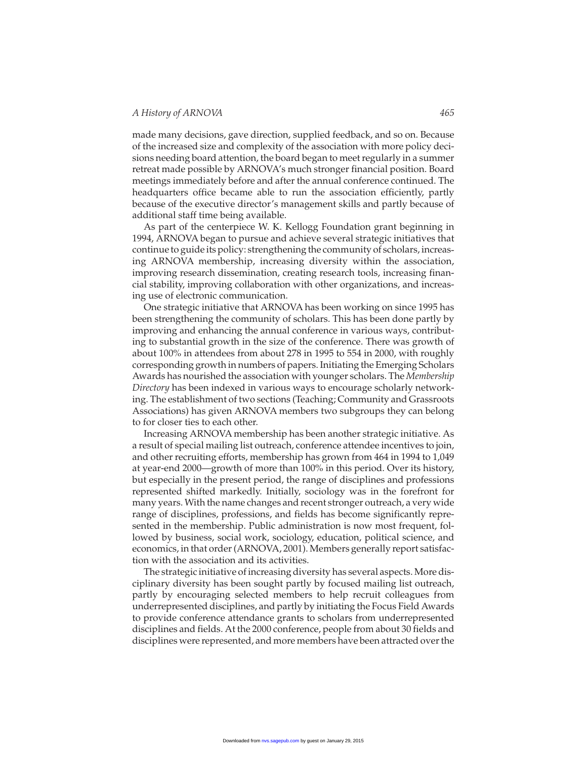made many decisions, gave direction, supplied feedback, and so on. Because of the increased size and complexity of the association with more policy decisions needing board attention, the board began to meet regularly in a summer retreat made possible by ARNOVA's much stronger financial position. Board meetings immediately before and after the annual conference continued. The headquarters office became able to run the association efficiently, partly because of the executive director's management skills and partly because of additional staff time being available.

As part of the centerpiece W. K. Kellogg Foundation grant beginning in 1994, ARNOVA began to pursue and achieve several strategic initiatives that continue to guide its policy: strengthening the community of scholars, increasing ARNOVA membership, increasing diversity within the association, improving research dissemination, creating research tools, increasing financial stability, improving collaboration with other organizations, and increasing use of electronic communication.

One strategic initiative that ARNOVA has been working on since 1995 has been strengthening the community of scholars. This has been done partly by improving and enhancing the annual conference in various ways, contributing to substantial growth in the size of the conference. There was growth of about 100% in attendees from about 278 in 1995 to 554 in 2000, with roughly corresponding growth in numbers of papers. Initiating the Emerging Scholars Awards has nourished the association with younger scholars. The *Membership Directory* has been indexed in various ways to encourage scholarly networking. The establishment of two sections (Teaching; Community and Grassroots Associations) has given ARNOVA members two subgroups they can belong to for closer ties to each other.

Increasing ARNOVA membership has been another strategic initiative. As a result of special mailing list outreach, conference attendee incentives to join, and other recruiting efforts, membership has grown from 464 in 1994 to 1,049 at year-end 2000—growth of more than 100% in this period. Over its history, but especially in the present period, the range of disciplines and professions represented shifted markedly. Initially, sociology was in the forefront for many years. With the name changes and recent stronger outreach, a very wide range of disciplines, professions, and fields has become significantly represented in the membership. Public administration is now most frequent, followed by business, social work, sociology, education, political science, and economics, in that order (ARNOVA, 2001). Members generally report satisfaction with the association and its activities.

The strategic initiative of increasing diversity has several aspects. More disciplinary diversity has been sought partly by focused mailing list outreach, partly by encouraging selected members to help recruit colleagues from underrepresented disciplines, and partly by initiating the Focus Field Awards to provide conference attendance grants to scholars from underrepresented disciplines and fields. At the 2000 conference, people from about 30 fields and disciplines were represented, and more members have been attracted over the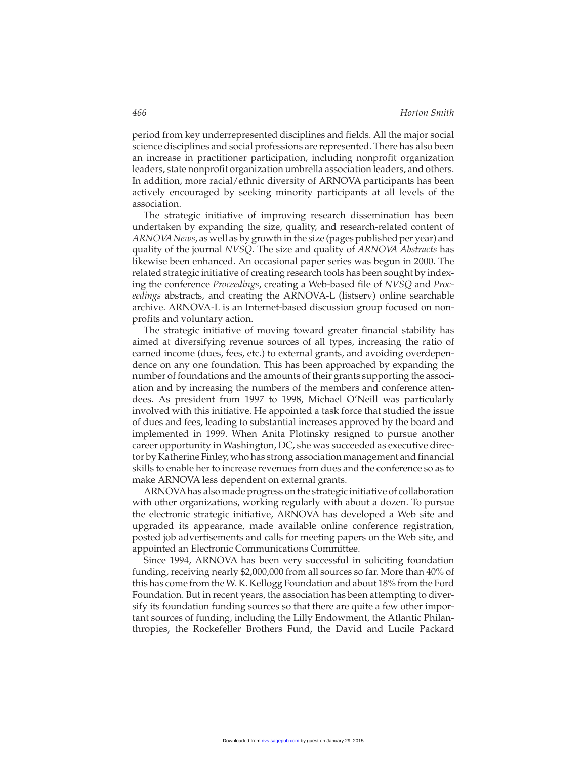period from key underrepresented disciplines and fields. All the major social science disciplines and social professions are represented. There has also been an increase in practitioner participation, including nonprofit organization leaders, state nonprofit organization umbrella association leaders, and others. In addition, more racial/ethnic diversity of ARNOVA participants has been actively encouraged by seeking minority participants at all levels of the association.

The strategic initiative of improving research dissemination has been undertaken by expanding the size, quality, and research-related content of *ARNOVANews*, as well as by growth in the size (pages published per year) and quality of the journal *NVSQ*. The size and quality of *ARNOVA Abstracts* has likewise been enhanced. An occasional paper series was begun in 2000. The related strategic initiative of creating research tools has been sought by indexing the conference *Proceedings*, creating a Web-based file of *NVSQ* and *Proceedings* abstracts, and creating the ARNOVA-L (listserv) online searchable archive. ARNOVA-L is an Internet-based discussion group focused on nonprofits and voluntary action.

The strategic initiative of moving toward greater financial stability has aimed at diversifying revenue sources of all types, increasing the ratio of earned income (dues, fees, etc.) to external grants, and avoiding overdependence on any one foundation. This has been approached by expanding the number of foundations and the amounts of their grants supporting the association and by increasing the numbers of the members and conference attendees. As president from 1997 to 1998, Michael O'Neill was particularly involved with this initiative. He appointed a task force that studied the issue of dues and fees, leading to substantial increases approved by the board and implemented in 1999. When Anita Plotinsky resigned to pursue another career opportunity in Washington, DC, she was succeeded as executive director by Katherine Finley, who has strong association management and financial skills to enable her to increase revenues from dues and the conference so as to make ARNOVA less dependent on external grants.

ARNOVAhas also made progress on the strategic initiative of collaboration with other organizations, working regularly with about a dozen. To pursue the electronic strategic initiative, ARNOVA has developed a Web site and upgraded its appearance, made available online conference registration, posted job advertisements and calls for meeting papers on the Web site, and appointed an Electronic Communications Committee.

Since 1994, ARNOVA has been very successful in soliciting foundation funding, receiving nearly \$2,000,000 from all sources so far. More than 40% of this has come from the W. K. Kellogg Foundation and about 18% from the Ford Foundation. But in recent years, the association has been attempting to diversify its foundation funding sources so that there are quite a few other important sources of funding, including the Lilly Endowment, the Atlantic Philanthropies, the Rockefeller Brothers Fund, the David and Lucile Packard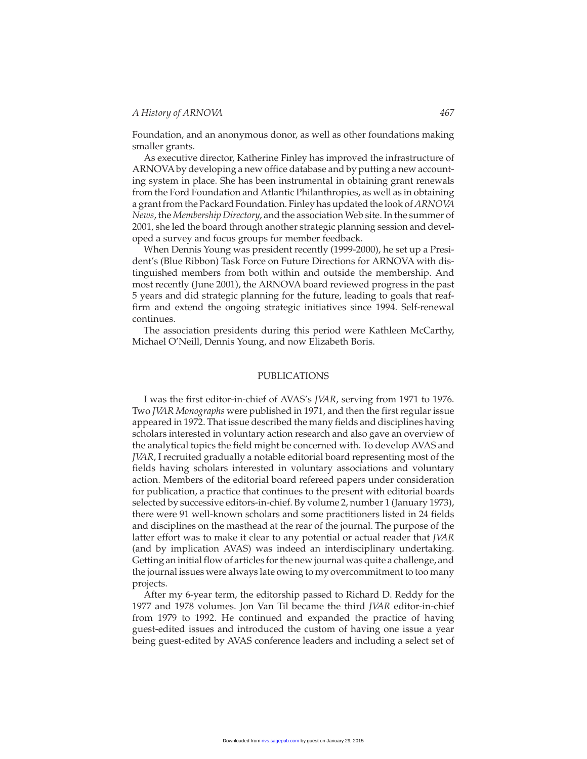Foundation, and an anonymous donor, as well as other foundations making smaller grants.

As executive director, Katherine Finley has improved the infrastructure of ARNOVAby developing a new office database and by putting a new accounting system in place. She has been instrumental in obtaining grant renewals from the Ford Foundation and Atlantic Philanthropies, as well as in obtaining a grant from the Packard Foundation. Finley has updated the look of *ARNOVA News*, the *Membership Directory*, and the association Web site. In the summer of 2001, she led the board through another strategic planning session and developed a survey and focus groups for member feedback.

When Dennis Young was president recently (1999-2000), he set up a President's (Blue Ribbon) Task Force on Future Directions for ARNOVA with distinguished members from both within and outside the membership. And most recently (June 2001), the ARNOVA board reviewed progress in the past 5 years and did strategic planning for the future, leading to goals that reaffirm and extend the ongoing strategic initiatives since 1994. Self-renewal continues.

The association presidents during this period were Kathleen McCarthy, Michael O'Neill, Dennis Young, and now Elizabeth Boris.

# PUBLICATIONS

I was the first editor-in-chief of AVAS's *JVAR*, serving from 1971 to 1976. Two *JVAR Monographs* were published in 1971, and then the first regular issue appeared in 1972. That issue described the many fields and disciplines having scholars interested in voluntary action research and also gave an overview of the analytical topics the field might be concerned with. To develop AVAS and *JVAR*, I recruited gradually a notable editorial board representing most of the fields having scholars interested in voluntary associations and voluntary action. Members of the editorial board refereed papers under consideration for publication, a practice that continues to the present with editorial boards selected by successive editors-in-chief. By volume 2, number 1 (January 1973), there were 91 well-known scholars and some practitioners listed in 24 fields and disciplines on the masthead at the rear of the journal. The purpose of the latter effort was to make it clear to any potential or actual reader that *JVAR* (and by implication AVAS) was indeed an interdisciplinary undertaking. Getting an initial flow of articles for the new journal was quite a challenge, and the journal issues were always late owing to my overcommitment to too many projects.

After my 6-year term, the editorship passed to Richard D. Reddy for the 1977 and 1978 volumes. Jon Van Til became the third *JVAR* editor-in-chief from 1979 to 1992. He continued and expanded the practice of having guest-edited issues and introduced the custom of having one issue a year being guest-edited by AVAS conference leaders and including a select set of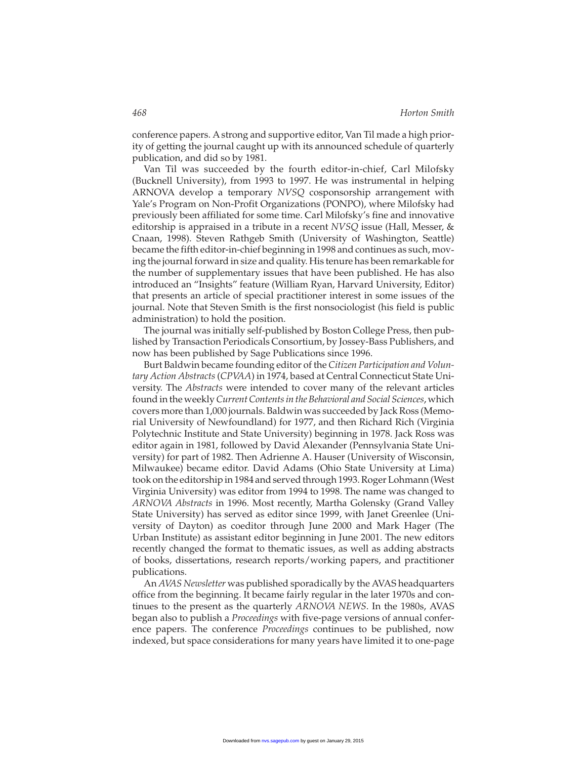conference papers. A strong and supportive editor, Van Til made a high priority of getting the journal caught up with its announced schedule of quarterly publication, and did so by 1981.

Van Til was succeeded by the fourth editor-in-chief, Carl Milofsky (Bucknell University), from 1993 to 1997. He was instrumental in helping ARNOVA develop a temporary *NVSQ* cosponsorship arrangement with Yale's Program on Non-Profit Organizations (PONPO), where Milofsky had previously been affiliated for some time. Carl Milofsky's fine and innovative editorship is appraised in a tribute in a recent *NVSQ* issue (Hall, Messer, & Cnaan, 1998). Steven Rathgeb Smith (University of Washington, Seattle) became the fifth editor-in-chief beginning in 1998 and continues as such, moving the journal forward in size and quality. His tenure has been remarkable for the number of supplementary issues that have been published. He has also introduced an "Insights" feature (William Ryan, Harvard University, Editor) that presents an article of special practitioner interest in some issues of the journal. Note that Steven Smith is the first nonsociologist (his field is public administration) to hold the position.

The journal was initially self-published by Boston College Press, then published by Transaction Periodicals Consortium, by Jossey-Bass Publishers, and now has been published by Sage Publications since 1996.

Burt Baldwin became founding editor of the *Citizen Participation and Voluntary Action Abstracts* (*CPVAA*) in 1974, based at Central Connecticut State University. The *Abstracts* were intended to cover many of the relevant articles found in the weekly*Current Contents in the Behavioral and Social Sciences*, which covers more than 1,000 journals. Baldwin was succeeded by Jack Ross (Memorial University of Newfoundland) for 1977, and then Richard Rich (Virginia Polytechnic Institute and State University) beginning in 1978. Jack Ross was editor again in 1981, followed by David Alexander (Pennsylvania State University) for part of 1982. Then Adrienne A. Hauser (University of Wisconsin, Milwaukee) became editor. David Adams (Ohio State University at Lima) took on the editorship in 1984 and served through 1993. Roger Lohmann (West Virginia University) was editor from 1994 to 1998. The name was changed to *ARNOVA Abstracts* in 1996. Most recently, Martha Golensky (Grand Valley State University) has served as editor since 1999, with Janet Greenlee (University of Dayton) as coeditor through June 2000 and Mark Hager (The Urban Institute) as assistant editor beginning in June 2001. The new editors recently changed the format to thematic issues, as well as adding abstracts of books, dissertations, research reports/working papers, and practitioner publications.

An *AVAS Newsletter* was published sporadically by the AVAS headquarters office from the beginning. It became fairly regular in the later 1970s and continues to the present as the quarterly *ARNOVA NEWS*. In the 1980s, AVAS began also to publish a *Proceedings* with five-page versions of annual conference papers. The conference *Proceedings* continues to be published, now indexed, but space considerations for many years have limited it to one-page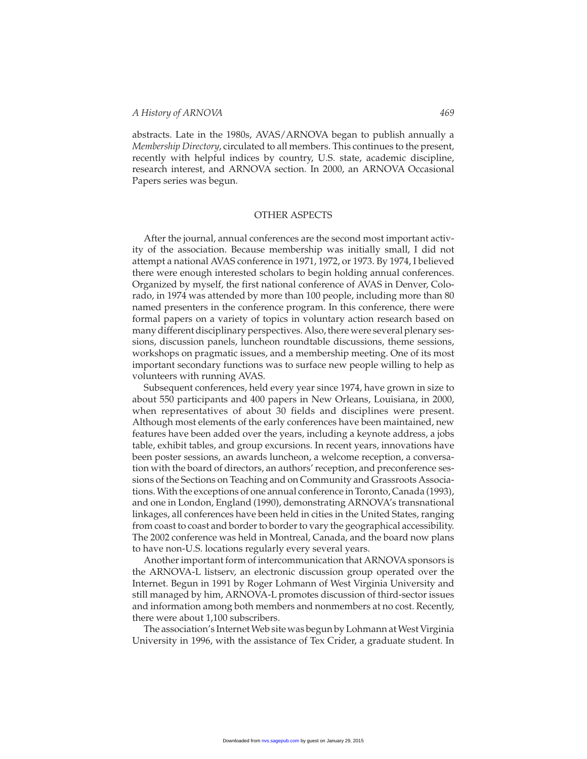abstracts. Late in the 1980s, AVAS/ARNOVA began to publish annually a *Membership Directory*, circulated to all members. This continues to the present, recently with helpful indices by country, U.S. state, academic discipline, research interest, and ARNOVA section. In 2000, an ARNOVA Occasional Papers series was begun.

# OTHER ASPECTS

After the journal, annual conferences are the second most important activity of the association. Because membership was initially small, I did not attempt a national AVAS conference in 1971, 1972, or 1973. By 1974, I believed there were enough interested scholars to begin holding annual conferences. Organized by myself, the first national conference of AVAS in Denver, Colorado, in 1974 was attended by more than 100 people, including more than 80 named presenters in the conference program. In this conference, there were formal papers on a variety of topics in voluntary action research based on many different disciplinary perspectives. Also, there were several plenary sessions, discussion panels, luncheon roundtable discussions, theme sessions, workshops on pragmatic issues, and a membership meeting. One of its most important secondary functions was to surface new people willing to help as volunteers with running AVAS.

Subsequent conferences, held every year since 1974, have grown in size to about 550 participants and 400 papers in New Orleans, Louisiana, in 2000, when representatives of about 30 fields and disciplines were present. Although most elements of the early conferences have been maintained, new features have been added over the years, including a keynote address, a jobs table, exhibit tables, and group excursions. In recent years, innovations have been poster sessions, an awards luncheon, a welcome reception, a conversation with the board of directors, an authors' reception, and preconference sessions of the Sections on Teaching and on Community and Grassroots Associations. With the exceptions of one annual conference in Toronto, Canada (1993), and one in London, England (1990), demonstrating ARNOVA's transnational linkages, all conferences have been held in cities in the United States, ranging from coast to coast and border to border to vary the geographical accessibility. The 2002 conference was held in Montreal, Canada, and the board now plans to have non-U.S. locations regularly every several years.

Another important form of intercommunication that ARNOVA sponsors is the ARNOVA-L listserv, an electronic discussion group operated over the Internet. Begun in 1991 by Roger Lohmann of West Virginia University and still managed by him, ARNOVA-L promotes discussion of third-sector issues and information among both members and nonmembers at no cost. Recently, there were about 1,100 subscribers.

The association's Internet Web site was begun by Lohmann at West Virginia University in 1996, with the assistance of Tex Crider, a graduate student. In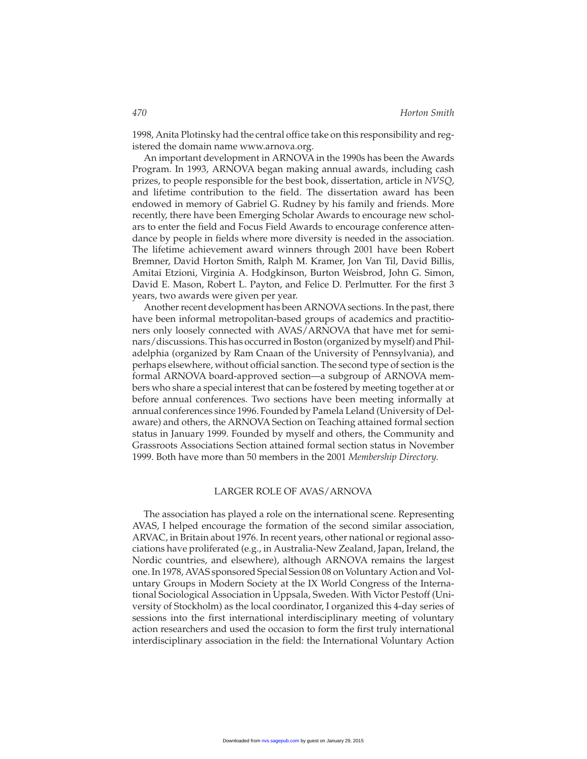1998, Anita Plotinsky had the central office take on this responsibility and registered the domain name www.arnova.org.

An important development in ARNOVA in the 1990s has been the Awards Program. In 1993, ARNOVA began making annual awards, including cash prizes, to people responsible for the best book, dissertation, article in *NVSQ*, and lifetime contribution to the field. The dissertation award has been endowed in memory of Gabriel G. Rudney by his family and friends. More recently, there have been Emerging Scholar Awards to encourage new scholars to enter the field and Focus Field Awards to encourage conference attendance by people in fields where more diversity is needed in the association. The lifetime achievement award winners through 2001 have been Robert Bremner, David Horton Smith, Ralph M. Kramer, Jon Van Til, David Billis, Amitai Etzioni, Virginia A. Hodgkinson, Burton Weisbrod, John G. Simon, David E. Mason, Robert L. Payton, and Felice D. Perlmutter. For the first 3 years, two awards were given per year.

Another recent development has been ARNOVAsections. In the past, there have been informal metropolitan-based groups of academics and practitioners only loosely connected with AVAS/ARNOVA that have met for seminars/discussions. This has occurred in Boston (organized by myself) and Philadelphia (organized by Ram Cnaan of the University of Pennsylvania), and perhaps elsewhere, without official sanction. The second type of section is the formal ARNOVA board-approved section—a subgroup of ARNOVA members who share a special interest that can be fostered by meeting together at or before annual conferences. Two sections have been meeting informally at annual conferences since 1996. Founded by Pamela Leland (University of Delaware) and others, the ARNOVA Section on Teaching attained formal section status in January 1999. Founded by myself and others, the Community and Grassroots Associations Section attained formal section status in November 1999. Both have more than 50 members in the 2001 *Membership Directory*.

## LARGER ROLE OF AVAS/ARNOVA

The association has played a role on the international scene. Representing AVAS, I helped encourage the formation of the second similar association, ARVAC, in Britain about 1976. In recent years, other national or regional associations have proliferated (e.g., in Australia-New Zealand, Japan, Ireland, the Nordic countries, and elsewhere), although ARNOVA remains the largest one. In 1978, AVAS sponsored Special Session 08 on Voluntary Action and Voluntary Groups in Modern Society at the IX World Congress of the International Sociological Association in Uppsala, Sweden. With Victor Pestoff (University of Stockholm) as the local coordinator, I organized this 4-day series of sessions into the first international interdisciplinary meeting of voluntary action researchers and used the occasion to form the first truly international interdisciplinary association in the field: the International Voluntary Action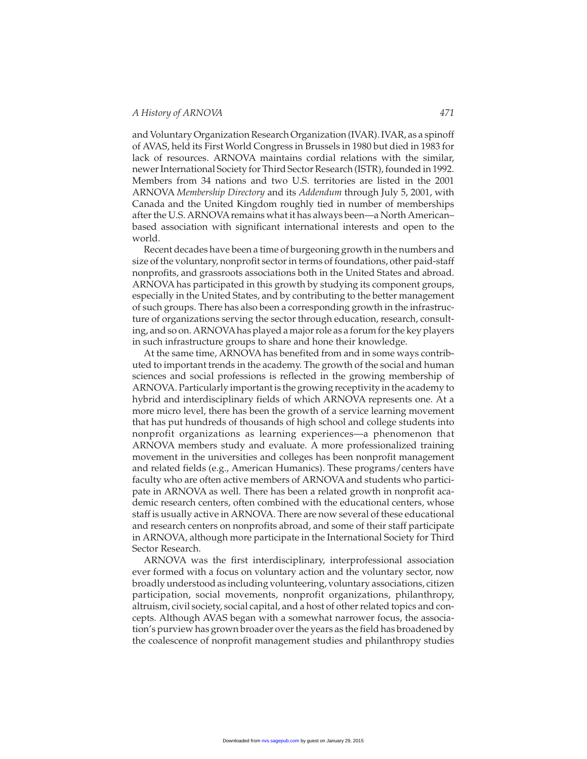and Voluntary Organization Research Organization (IVAR). IVAR, as a spinoff of AVAS, held its First World Congress in Brussels in 1980 but died in 1983 for lack of resources. ARNOVA maintains cordial relations with the similar, newer International Society for Third Sector Research (ISTR), founded in 1992. Members from 34 nations and two U.S. territories are listed in the 2001 ARNOVA *Membership Directory* and its *Addendum* through July 5, 2001, with Canada and the United Kingdom roughly tied in number of memberships after the U.S. ARNOVA remains what it has always been—a North Americanbased association with significant international interests and open to the world.

Recent decades have been a time of burgeoning growth in the numbers and size of the voluntary, nonprofit sector in terms of foundations, other paid-staff nonprofits, and grassroots associations both in the United States and abroad. ARNOVA has participated in this growth by studying its component groups, especially in the United States, and by contributing to the better management of such groups. There has also been a corresponding growth in the infrastructure of organizations serving the sector through education, research, consulting, and so on. ARNOVAhas played a major role as a forum for the key players in such infrastructure groups to share and hone their knowledge.

At the same time, ARNOVA has benefited from and in some ways contributed to important trends in the academy. The growth of the social and human sciences and social professions is reflected in the growing membership of ARNOVA. Particularly important is the growing receptivity in the academy to hybrid and interdisciplinary fields of which ARNOVA represents one. At a more micro level, there has been the growth of a service learning movement that has put hundreds of thousands of high school and college students into nonprofit organizations as learning experiences—a phenomenon that ARNOVA members study and evaluate. A more professionalized training movement in the universities and colleges has been nonprofit management and related fields (e.g., American Humanics). These programs/centers have faculty who are often active members of ARNOVA and students who participate in ARNOVA as well. There has been a related growth in nonprofit academic research centers, often combined with the educational centers, whose staff is usually active in ARNOVA. There are now several of these educational and research centers on nonprofits abroad, and some of their staff participate in ARNOVA, although more participate in the International Society for Third Sector Research.

ARNOVA was the first interdisciplinary, interprofessional association ever formed with a focus on voluntary action and the voluntary sector, now broadly understood as including volunteering, voluntary associations, citizen participation, social movements, nonprofit organizations, philanthropy, altruism, civil society, social capital, and a host of other related topics and concepts. Although AVAS began with a somewhat narrower focus, the association's purview has grown broader over the years as the field has broadened by the coalescence of nonprofit management studies and philanthropy studies